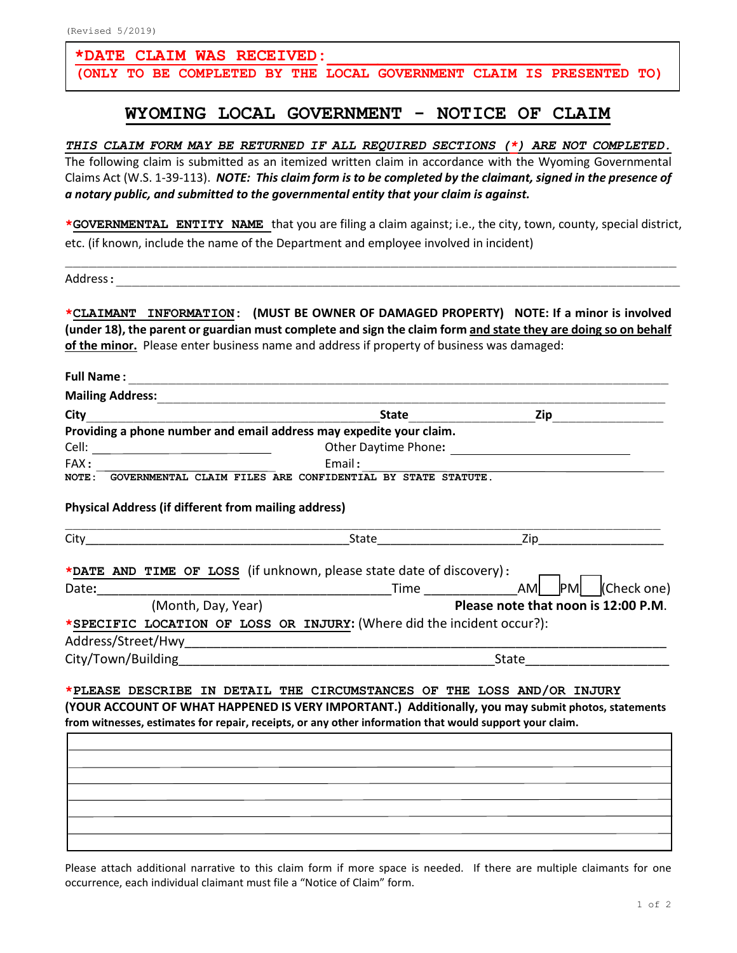## **\*DATE CLAIM WAS RECEIVED:\_\_\_\_\_\_\_\_\_\_\_\_\_\_\_\_\_\_\_\_\_\_\_\_\_\_\_\_\_**

**(ONLY TO BE COMPLETED BY THE LOCAL GOVERNMENT CLAIM IS PRESENTED TO)**

## **WYOMING LOCAL GOVERNMENT - NOTICE OF CLAIM**

*THIS CLAIM FORM MAY BE RETURNED IF ALL REQUIRED SECTIONS (\*) ARE NOT COMPLETED.* The following claim is submitted as an itemized written claim in accordance with the Wyoming Governmental Claims Act (W.S. 1-39-113). *NOTE: This claim form is to be completed by the claimant, signed in the presence of a notary public, and submitted to the governmental entity that your claim is against.*

**\*GOVERNMENTAL ENTITY NAME** that you are filing a claim against; i.e., the city, town, county, special district, etc. (if known, include the name of the Department and employee involved in incident)

\_\_\_\_\_\_\_\_\_\_\_\_\_\_\_\_\_\_\_\_\_\_\_\_\_\_\_\_\_\_\_\_\_\_\_\_\_\_\_\_\_\_\_\_\_\_\_\_\_\_\_\_\_\_\_\_\_\_\_\_\_\_\_\_\_\_\_\_\_\_\_\_\_\_\_\_\_

Address:\_\_\_\_\_\_\_\_\_\_\_\_\_\_\_\_\_\_\_\_\_\_\_\_\_\_\_\_\_\_\_\_\_\_\_\_\_\_\_\_\_\_\_\_\_\_\_\_\_\_\_\_\_\_\_\_\_\_\_\_\_\_\_\_\_\_\_\_\_\_\_

**\*CLAIMANT INFORMATION: (MUST BE OWNER OF DAMAGED PROPERTY) NOTE: If a minor is involved (under 18), the parent or guardian must complete and sign the claim form and state they are doing so on behalf of the minor.** Please enter business name and address if property of business was damaged:

| <b>Full Name:</b>                                           |                                                                                                         |                                                                                                                                                                              |
|-------------------------------------------------------------|---------------------------------------------------------------------------------------------------------|------------------------------------------------------------------------------------------------------------------------------------------------------------------------------|
| <b>Mailing Address:</b>                                     |                                                                                                         |                                                                                                                                                                              |
| City                                                        | <b>State</b>                                                                                            | Zip                                                                                                                                                                          |
|                                                             | Providing a phone number and email address may expedite your claim.                                     |                                                                                                                                                                              |
|                                                             |                                                                                                         |                                                                                                                                                                              |
| FAX:                                                        | Email:                                                                                                  |                                                                                                                                                                              |
|                                                             | NOTE: GOVERNMENTAL CLAIM FILES ARE CONFIDENTIAL BY STATE STATUTE.                                       |                                                                                                                                                                              |
| <b>Physical Address (if different from mailing address)</b> |                                                                                                         |                                                                                                                                                                              |
|                                                             |                                                                                                         |                                                                                                                                                                              |
| (Month, Day, Year)                                          | *SPECIFIC LOCATION OF LOSS OR INJURY: (Where did the incident occur?):                                  | (Check one)<br>Please note that noon is 12:00 P.M.<br>State and the state of the state of the state of the state of the state of the state of the state of the state         |
|                                                             | from witnesses, estimates for repair, receipts, or any other information that would support your claim. | *PLEASE DESCRIBE IN DETAIL THE CIRCUMSTANCES OF THE LOSS AND/OR INJURY<br>(YOUR ACCOUNT OF WHAT HAPPENED IS VERY IMPORTANT.) Additionally, you may submit photos, statements |
|                                                             |                                                                                                         |                                                                                                                                                                              |
|                                                             |                                                                                                         |                                                                                                                                                                              |
|                                                             |                                                                                                         |                                                                                                                                                                              |

Please attach additional narrative to this claim form if more space is needed. If there are multiple claimants for one occurrence, each individual claimant must file a "Notice of Claim" form.